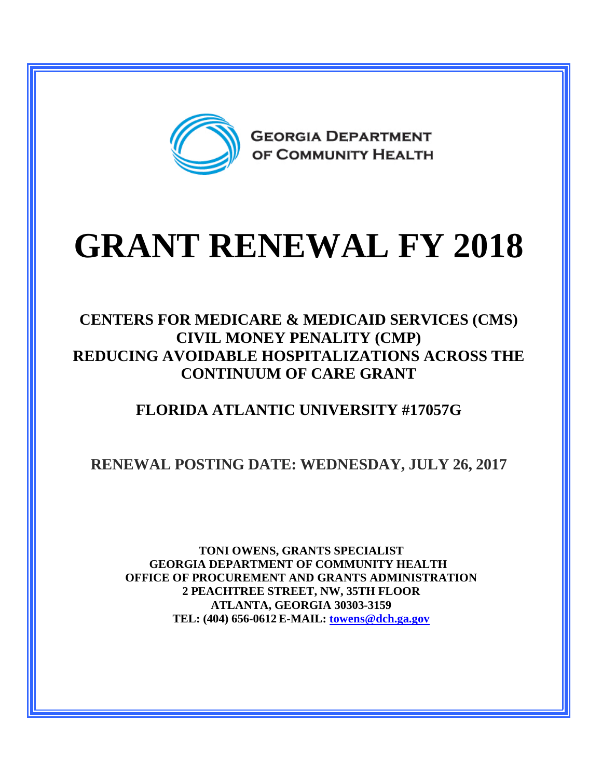

# **GRANT RENEWAL FY 2018**

#### **CENTERS FOR MEDICARE & MEDICAID SERVICES (CMS) CIVIL MONEY PENALITY (CMP) REDUCING AVOIDABLE HOSPITALIZATIONS ACROSS THE CONTINUUM OF CARE GRANT**

## **FLORIDA ATLANTIC UNIVERSITY #17057G**

## **RENEWAL POSTING DATE: WEDNESDAY, JULY 26, 2017**

**TONI OWENS, GRANTS SPECIALIST GEORGIA DEPARTMENT OF COMMUNITY HEALTH OFFICE OF PROCUREMENT AND GRANTS ADMINISTRATION 2 PEACHTREE STREET, NW, 35TH FLOOR ATLANTA, GEORGIA 30303-3159 TEL: (404) 656-0612 E-MAIL: [towens@dch.ga.gov](mailto:towens@dch.ga.gov)**